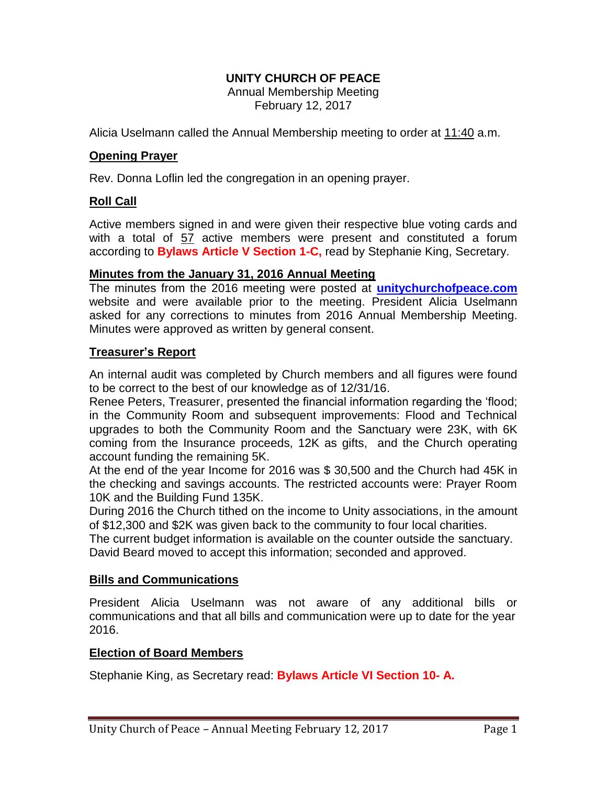### **UNITY CHURCH OF PEACE**

Annual Membership Meeting February 12, 2017

Alicia Uselmann called the Annual Membership meeting to order at 11:40 a.m.

#### **Opening Prayer**

Rev. Donna Loflin led the congregation in an opening prayer.

### **Roll Call**

Active members signed in and were given their respective blue voting cards and with a total of 57 active members were present and constituted a forum according to **Bylaws Article V Section 1-C,** read by Stephanie King, Secretary.

#### **Minutes from the January 31, 2016 Annual Meeting**

The minutes from the 2016 meeting were posted at **unitychurchofpeace.com** website and were available prior to the meeting. President Alicia Uselmann asked for any corrections to minutes from 2016 Annual Membership Meeting. Minutes were approved as written by general consent.

#### **Treasurer's Report**

An internal audit was completed by Church members and all figures were found to be correct to the best of our knowledge as of 12/31/16.

Renee Peters, Treasurer, presented the financial information regarding the 'flood; in the Community Room and subsequent improvements: Flood and Technical upgrades to both the Community Room and the Sanctuary were 23K, with 6K coming from the Insurance proceeds, 12K as gifts, and the Church operating account funding the remaining 5K.

At the end of the year Income for 2016 was \$ 30,500 and the Church had 45K in the checking and savings accounts. The restricted accounts were: Prayer Room 10K and the Building Fund 135K.

During 2016 the Church tithed on the income to Unity associations, in the amount of \$12,300 and \$2K was given back to the community to four local charities.

The current budget information is available on the counter outside the sanctuary. David Beard moved to accept this information; seconded and approved.

#### **Bills and Communications**

President Alicia Uselmann was not aware of any additional bills or communications and that all bills and communication were up to date for the year 2016.

#### **Election of Board Members**

Stephanie King, as Secretary read: **Bylaws Article VI Section 10- A.**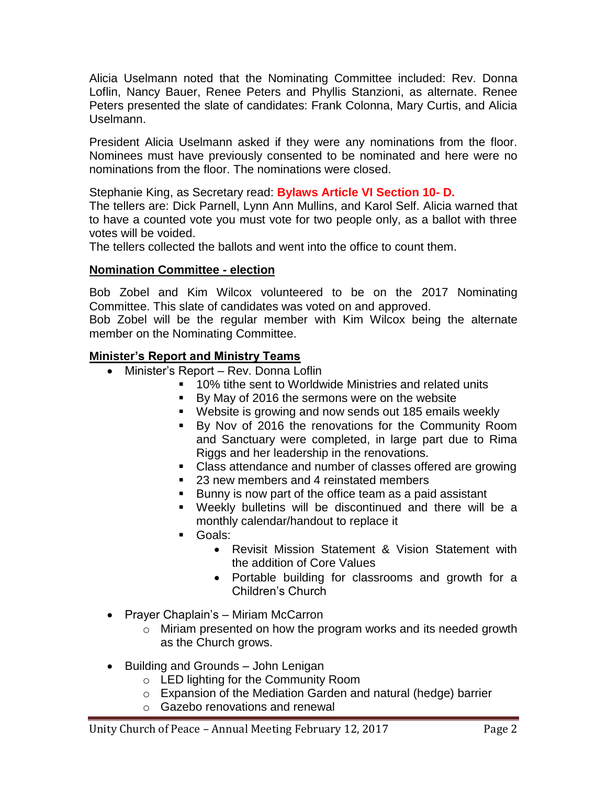Alicia Uselmann noted that the Nominating Committee included: Rev. Donna Loflin, Nancy Bauer, Renee Peters and Phyllis Stanzioni, as alternate. Renee Peters presented the slate of candidates: Frank Colonna, Mary Curtis, and Alicia Uselmann.

President Alicia Uselmann asked if they were any nominations from the floor. Nominees must have previously consented to be nominated and here were no nominations from the floor. The nominations were closed.

Stephanie King, as Secretary read: **Bylaws Article VI Section 10- D.**

The tellers are: Dick Parnell, Lynn Ann Mullins, and Karol Self. Alicia warned that to have a counted vote you must vote for two people only, as a ballot with three votes will be voided.

The tellers collected the ballots and went into the office to count them.

### **Nomination Committee - election**

Bob Zobel and Kim Wilcox volunteered to be on the 2017 Nominating Committee. This slate of candidates was voted on and approved.

Bob Zobel will be the regular member with Kim Wilcox being the alternate member on the Nominating Committee.

## **Minister's Report and Ministry Teams**

- Minister's Report Rev. Donna Loflin
	- 10% tithe sent to Worldwide Ministries and related units
	- By May of 2016 the sermons were on the website
	- Website is growing and now sends out 185 emails weekly
	- By Nov of 2016 the renovations for the Community Room and Sanctuary were completed, in large part due to Rima Riggs and her leadership in the renovations.
	- Class attendance and number of classes offered are growing
	- 23 new members and 4 reinstated members
	- Bunny is now part of the office team as a paid assistant
	- Weekly bulletins will be discontinued and there will be a monthly calendar/handout to replace it
	- Goals:
		- Revisit Mission Statement & Vision Statement with the addition of Core Values
		- Portable building for classrooms and growth for a Children's Church
- Prayer Chaplain's Miriam McCarron
	- o Miriam presented on how the program works and its needed growth as the Church grows.
- Building and Grounds John Lenigan
	- o LED lighting for the Community Room
	- o Expansion of the Mediation Garden and natural (hedge) barrier
	- o Gazebo renovations and renewal